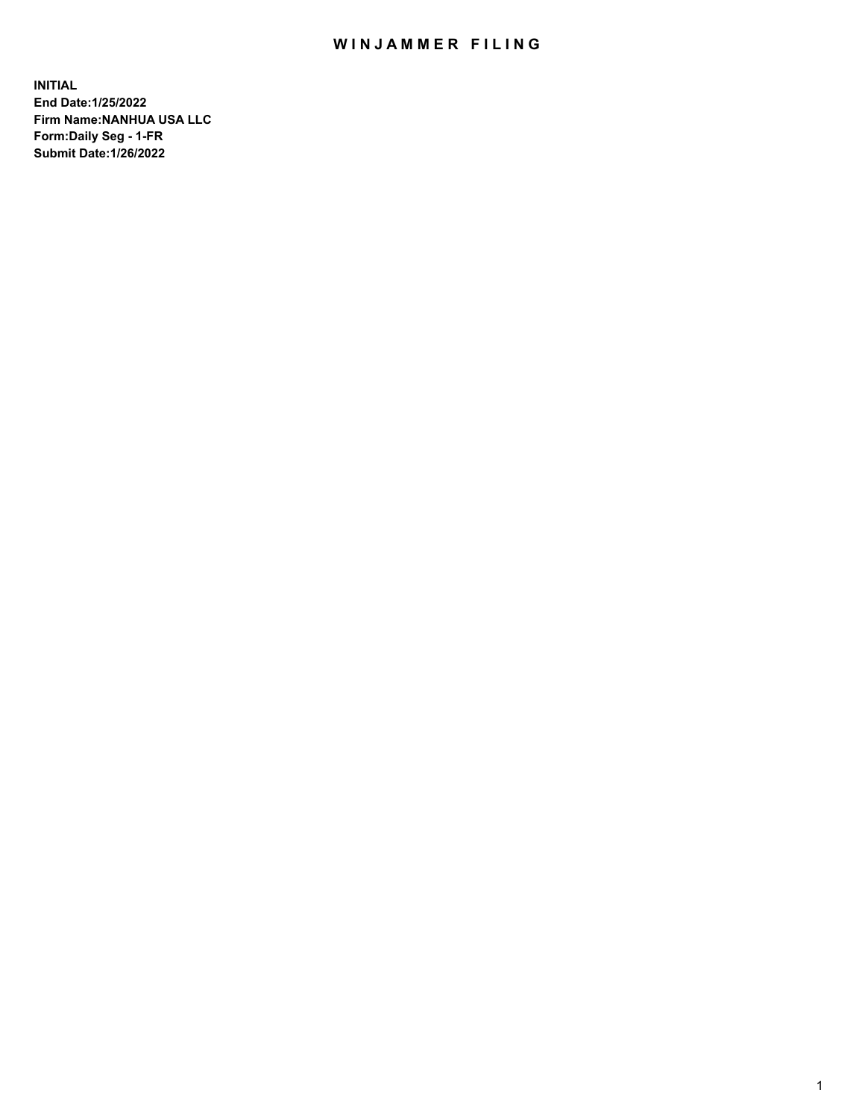# WIN JAMMER FILING

**INITIAL End Date:1/25/2022 Firm Name:NANHUA USA LLC Form:Daily Seg - 1-FR Submit Date:1/26/2022**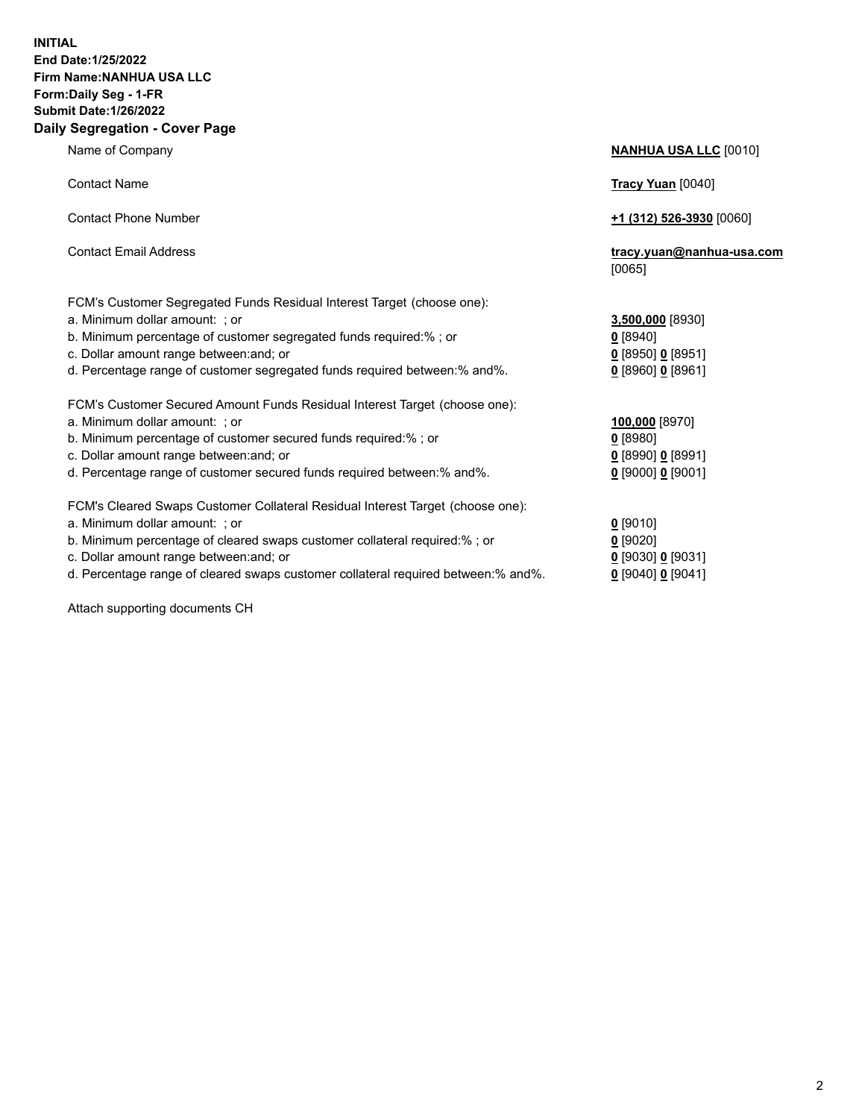## **INITIAL End Date:1/25/2022 Firm Name:NANHUA USA LLC Form:Daily Seg - 1-FR Submit Date:1/26/2022 Daily Segregation - Cover Page**

Name of Company **NANHUA USA LLC** [0010] Contact Name **Tracy Yuan** [0040] Contact Phone Number **+1 (312) 526-3930** [0060] Contact Email Address **tracy.yuan@nanhua-usa.com** [0065] FCM's Customer Segregated Funds Residual Interest Target (choose one): a. Minimum dollar amount: ; or **3,500,000** [8930] b. Minimum percentage of customer segregated funds required:% ; or **0** [8940] c. Dollar amount range between:and; or **0** [8950] **0** [8951] d. Percentage range of customer segregated funds required between:% and%. **0** [8960] **0** [8961] FCM's Customer Secured Amount Funds Residual Interest Target (choose one): a. Minimum dollar amount: ; or **100,000** [8970] b. Minimum percentage of customer secured funds required:% ; or **0** [8980] c. Dollar amount range between:and; or **0** [8990] **0** [8991] d. Percentage range of customer secured funds required between:% and%. **0** [9000] **0** [9001] FCM's Cleared Swaps Customer Collateral Residual Interest Target (choose one): a. Minimum dollar amount: ; or **0** [9010] b. Minimum percentage of cleared swaps customer collateral required:% ; or **0** [9020] c. Dollar amount range between:and; or **0** [9030] **0** [9031] d. Percentage range of cleared swaps customer collateral required between:% and%. **0** [9040] **0** [9041]

Attach supporting documents CH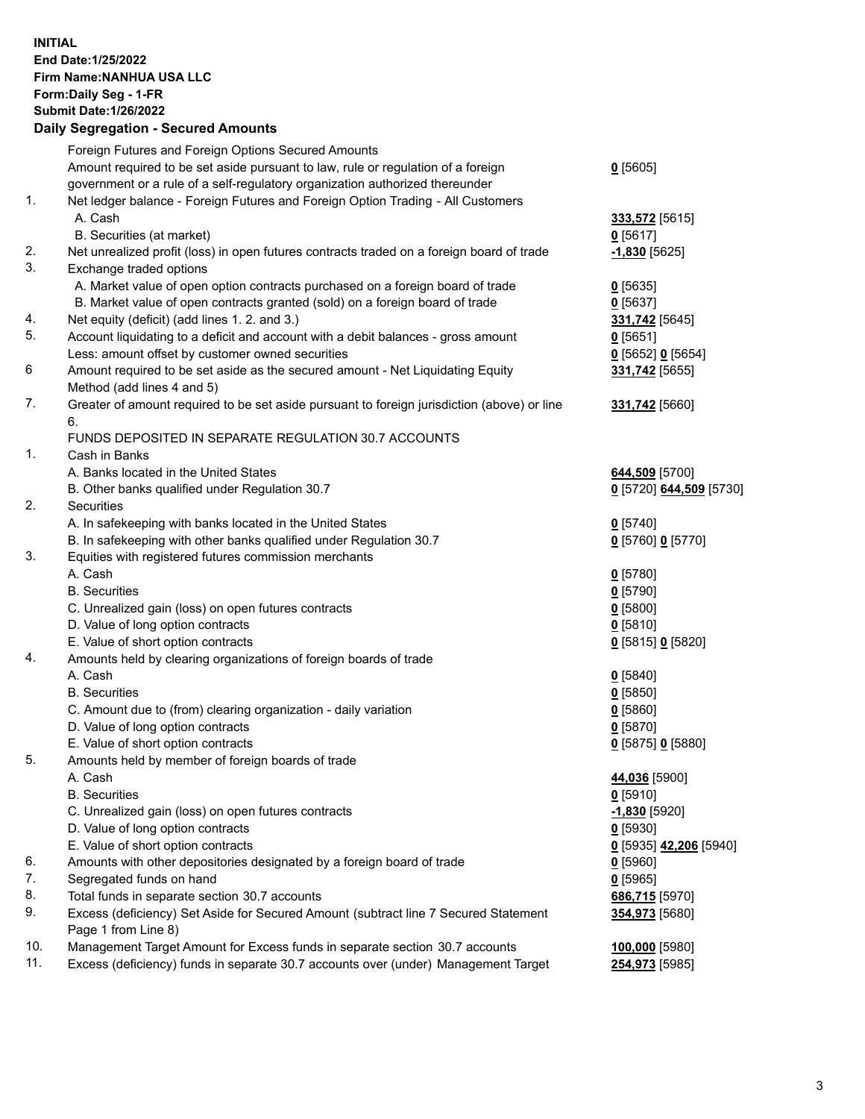**INITIAL End Date:1/25/2022 Firm Name:NANHUA USA LLC Form:Daily Seg - 1-FR Submit Date:1/26/2022**

### **Daily Segregation - Secured Amounts** Foreign Futures and Foreign Options Secured Amounts Amount required to be set aside pursuant to law, rule or regulation of a foreign government or a rule of a self-regulatory organization authorized thereunder **0** [5605] 1. Net ledger balance - Foreign Futures and Foreign Option Trading - All Customers A. Cash **333,572** [5615] B. Securities (at market) **0** [5617] 2. Net unrealized profit (loss) in open futures contracts traded on a foreign board of trade **-1,830** [5625] 3. Exchange traded options A. Market value of open option contracts purchased on a foreign board of trade **0** [5635] B. Market value of open contracts granted (sold) on a foreign board of trade **0** [5637] 4. Net equity (deficit) (add lines 1. 2. and 3.) **331,742** [5645] 5. Account liquidating to a deficit and account with a debit balances - gross amount **0** [5651] Less: amount offset by customer owned securities **0** [5652] **0** [5654] 6 Amount required to be set aside as the secured amount - Net Liquidating Equity Method (add lines 4 and 5) **331,742** [5655] 7. Greater of amount required to be set aside pursuant to foreign jurisdiction (above) or line 6. **331,742** [5660] FUNDS DEPOSITED IN SEPARATE REGULATION 30.7 ACCOUNTS 1. Cash in Banks A. Banks located in the United States **644,509** [5700] B. Other banks qualified under Regulation 30.7 **0** [5720] **644,509** [5730] 2. Securities A. In safekeeping with banks located in the United States **0** [5740] B. In safekeeping with other banks qualified under Regulation 30.7 **0** [5760] **0** [5770] 3. Equities with registered futures commission merchants A. Cash **0** [5780] B. Securities **0** [5790] C. Unrealized gain (loss) on open futures contracts **0** [5800] D. Value of long option contracts **0** [5810] E. Value of short option contracts **0** [5815] **0** [5820] 4. Amounts held by clearing organizations of foreign boards of trade A. Cash **0** [5840] B. Securities **0** [5850] C. Amount due to (from) clearing organization - daily variation **0** [5860] D. Value of long option contracts **0** [5870] E. Value of short option contracts **0** [5875] **0** [5880] 5. Amounts held by member of foreign boards of trade A. Cash **44,036** [5900] B. Securities **0** [5910] C. Unrealized gain (loss) on open futures contracts **-1,830** [5920] D. Value of long option contracts **0** [5930] E. Value of short option contracts **0** [5935] **42,206** [5940] 6. Amounts with other depositories designated by a foreign board of trade **0** [5960] 7. Segregated funds on hand **0** [5965] 8. Total funds in separate section 30.7 accounts **686,715** [5970] 9. Excess (deficiency) Set Aside for Secured Amount (subtract line 7 Secured Statement Page 1 from Line 8) **354,973** [5680] 10. Management Target Amount for Excess funds in separate section 30.7 accounts **100,000** [5980]

11. Excess (deficiency) funds in separate 30.7 accounts over (under) Management Target **254,973** [5985]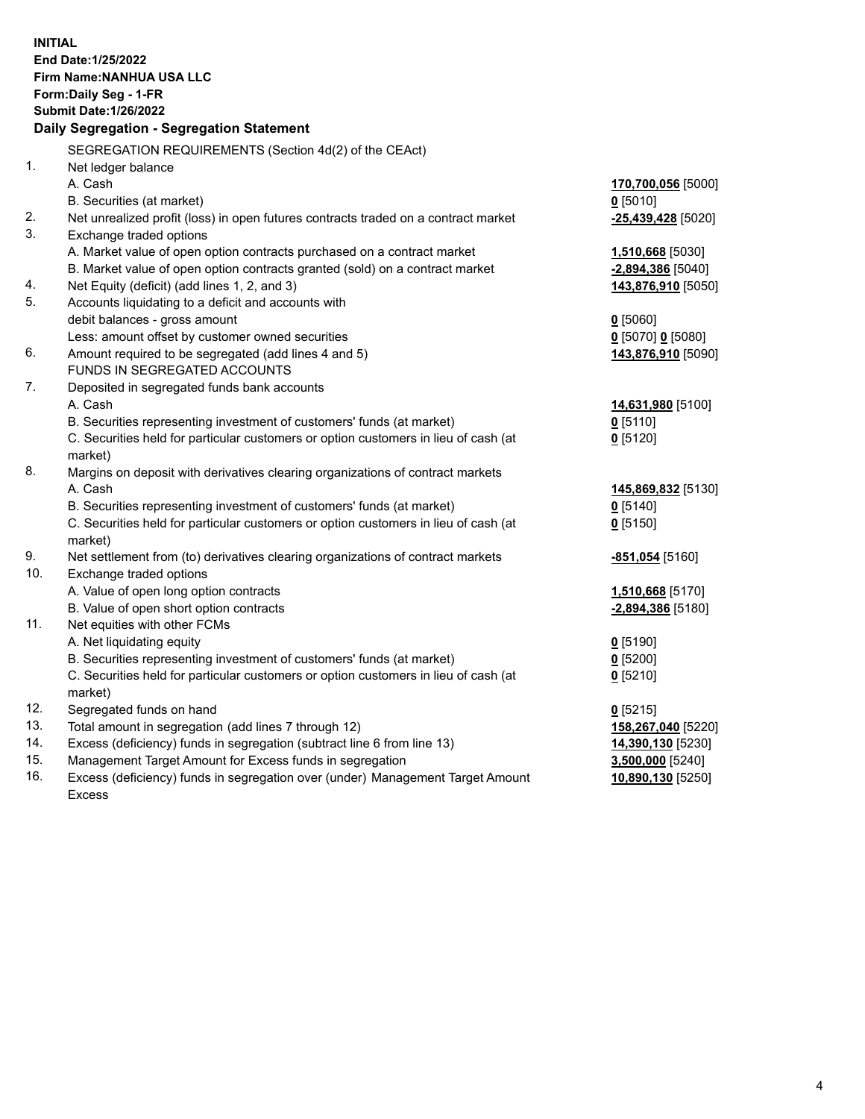| <b>INITIAL</b><br>End Date: 1/25/2022<br>Firm Name: NANHUA USA LLC<br>Form: Daily Seg - 1-FR<br><b>Submit Date: 1/26/2022</b><br>Daily Segregation - Segregation Statement |                                                                                                                                                              |                    |  |
|----------------------------------------------------------------------------------------------------------------------------------------------------------------------------|--------------------------------------------------------------------------------------------------------------------------------------------------------------|--------------------|--|
|                                                                                                                                                                            | SEGREGATION REQUIREMENTS (Section 4d(2) of the CEAct)                                                                                                        |                    |  |
| 1.                                                                                                                                                                         | Net ledger balance                                                                                                                                           |                    |  |
|                                                                                                                                                                            | A. Cash                                                                                                                                                      | 170,700,056 [5000] |  |
|                                                                                                                                                                            | B. Securities (at market)                                                                                                                                    | $0$ [5010]         |  |
| 2.                                                                                                                                                                         | Net unrealized profit (loss) in open futures contracts traded on a contract market                                                                           | -25,439,428 [5020] |  |
| 3.                                                                                                                                                                         | Exchange traded options                                                                                                                                      |                    |  |
|                                                                                                                                                                            | A. Market value of open option contracts purchased on a contract market                                                                                      | 1,510,668 [5030]   |  |
|                                                                                                                                                                            | B. Market value of open option contracts granted (sold) on a contract market                                                                                 | -2,894,386 [5040]  |  |
| 4.                                                                                                                                                                         | Net Equity (deficit) (add lines 1, 2, and 3)                                                                                                                 | 143,876,910 [5050] |  |
| 5.                                                                                                                                                                         | Accounts liquidating to a deficit and accounts with                                                                                                          |                    |  |
|                                                                                                                                                                            | debit balances - gross amount                                                                                                                                | $0$ [5060]         |  |
|                                                                                                                                                                            | Less: amount offset by customer owned securities                                                                                                             | 0 [5070] 0 [5080]  |  |
| 6.                                                                                                                                                                         | Amount required to be segregated (add lines 4 and 5)                                                                                                         | 143,876,910 [5090] |  |
| 7.                                                                                                                                                                         | FUNDS IN SEGREGATED ACCOUNTS                                                                                                                                 |                    |  |
|                                                                                                                                                                            | Deposited in segregated funds bank accounts<br>A. Cash                                                                                                       |                    |  |
|                                                                                                                                                                            |                                                                                                                                                              | 14,631,980 [5100]  |  |
|                                                                                                                                                                            | B. Securities representing investment of customers' funds (at market)<br>C. Securities held for particular customers or option customers in lieu of cash (at | $0$ [5110]         |  |
|                                                                                                                                                                            | market)                                                                                                                                                      | $0$ [5120]         |  |
| 8.                                                                                                                                                                         | Margins on deposit with derivatives clearing organizations of contract markets                                                                               |                    |  |
|                                                                                                                                                                            | A. Cash                                                                                                                                                      | 145,869,832 [5130] |  |
|                                                                                                                                                                            | B. Securities representing investment of customers' funds (at market)                                                                                        | $0$ [5140]         |  |
|                                                                                                                                                                            | C. Securities held for particular customers or option customers in lieu of cash (at                                                                          | $0$ [5150]         |  |
|                                                                                                                                                                            | market)                                                                                                                                                      |                    |  |
| 9.                                                                                                                                                                         | Net settlement from (to) derivatives clearing organizations of contract markets                                                                              | -851,054 [5160]    |  |
| 10.                                                                                                                                                                        | Exchange traded options                                                                                                                                      |                    |  |
|                                                                                                                                                                            | A. Value of open long option contracts                                                                                                                       | 1,510,668 [5170]   |  |
|                                                                                                                                                                            | B. Value of open short option contracts                                                                                                                      | -2,894,386 [5180]  |  |
| 11.                                                                                                                                                                        | Net equities with other FCMs                                                                                                                                 |                    |  |
|                                                                                                                                                                            | A. Net liquidating equity                                                                                                                                    | $0$ [5190]         |  |
|                                                                                                                                                                            | B. Securities representing investment of customers' funds (at market)                                                                                        | $0$ [5200]         |  |
|                                                                                                                                                                            | C. Securities held for particular customers or option customers in lieu of cash (at                                                                          | $0$ [5210]         |  |
|                                                                                                                                                                            | market)                                                                                                                                                      |                    |  |
| 12.                                                                                                                                                                        | Segregated funds on hand                                                                                                                                     | $0$ [5215]         |  |
| 13.                                                                                                                                                                        | Total amount in segregation (add lines 7 through 12)                                                                                                         | 158,267,040 [5220] |  |
| 14.                                                                                                                                                                        | Excess (deficiency) funds in segregation (subtract line 6 from line 13)                                                                                      | 14,390,130 [5230]  |  |
| 15.                                                                                                                                                                        | Management Target Amount for Excess funds in segregation                                                                                                     | 3,500,000 [5240]   |  |
| 16.                                                                                                                                                                        | Excess (deficiency) funds in segregation over (under) Management Target Amount                                                                               | 10,890,130 [5250]  |  |
|                                                                                                                                                                            | <b>Excess</b>                                                                                                                                                |                    |  |